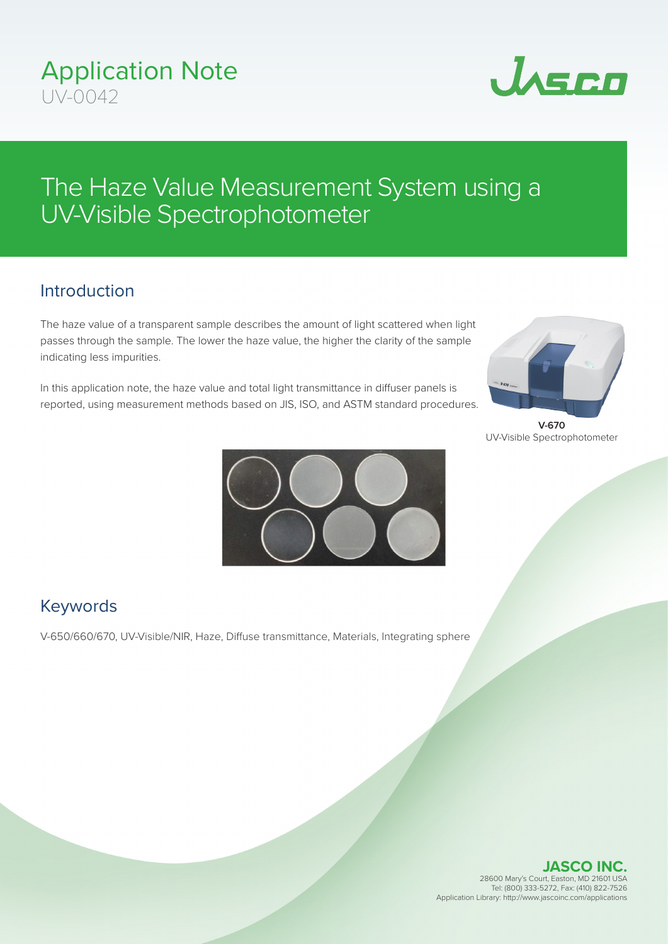# The Haze Value Measurement System using a UV-Visible Spectrophotometer

# Introduction

The haze value of a transparent sample describes the amount of light scattered when light passes through the sample. The lower the haze value, the higher the clarity of the sample indicating less impurities.

In this application note, the haze value and total light transmittance in diffuser panels is reported, using measurement methods based on JIS, ISO, and ASTM standard procedures.

**V-670** UV-Visible Spectrophotometer

**JASCO INC.** 28600 Mary's Court, Easton, MD 21601 USA Tel: (800) 333-5272, Fax: (410) 822-7526 Application Library: http://www.jascoinc.com/applications



# Keywords

V-650/660/670, UV-Visible/NIR, Haze, Diffuse transmittance, Materials, Integrating sphere





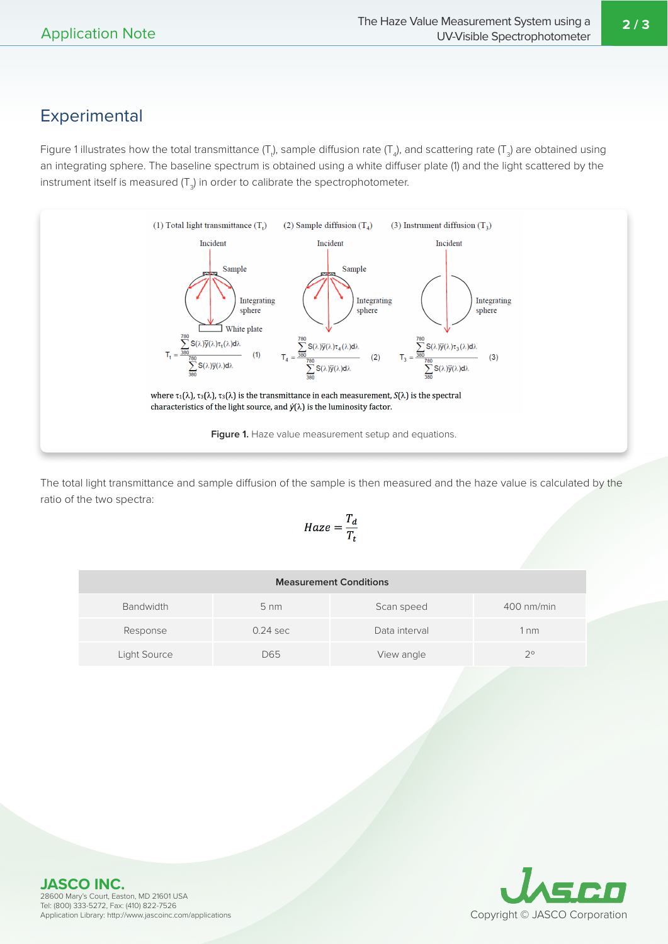**2 / 3**

### Experimental

Figure 1 illustrates how the total transmittance (T<sub>t</sub>), sample diffusion rate (T<sub>4</sub>), and scattering rate (T<sub>3</sub>) are obtained using an integrating sphere. The baseline spectrum is obtained using a white diffuser plate (1) and the light scattered by the instrument itself is measured (T<sub>3</sub>) in order to calibrate the spectrophotometer.



The total light transmittance and sample diffusion of the sample is then measured and the haze value is calculated by the ratio of the two spectra:

$$
Haze = \frac{T_d}{T_t}
$$

| <b>Measurement Conditions</b> |                |               |             |  |  |  |
|-------------------------------|----------------|---------------|-------------|--|--|--|
| <b>Bandwidth</b>              | $5 \text{ nm}$ | Scan speed    | 400 nm/min  |  |  |  |
| Response                      | $0.24$ sec     | Data interval | nm          |  |  |  |
| Light Source                  | D65            | View angle    | $2^{\circ}$ |  |  |  |